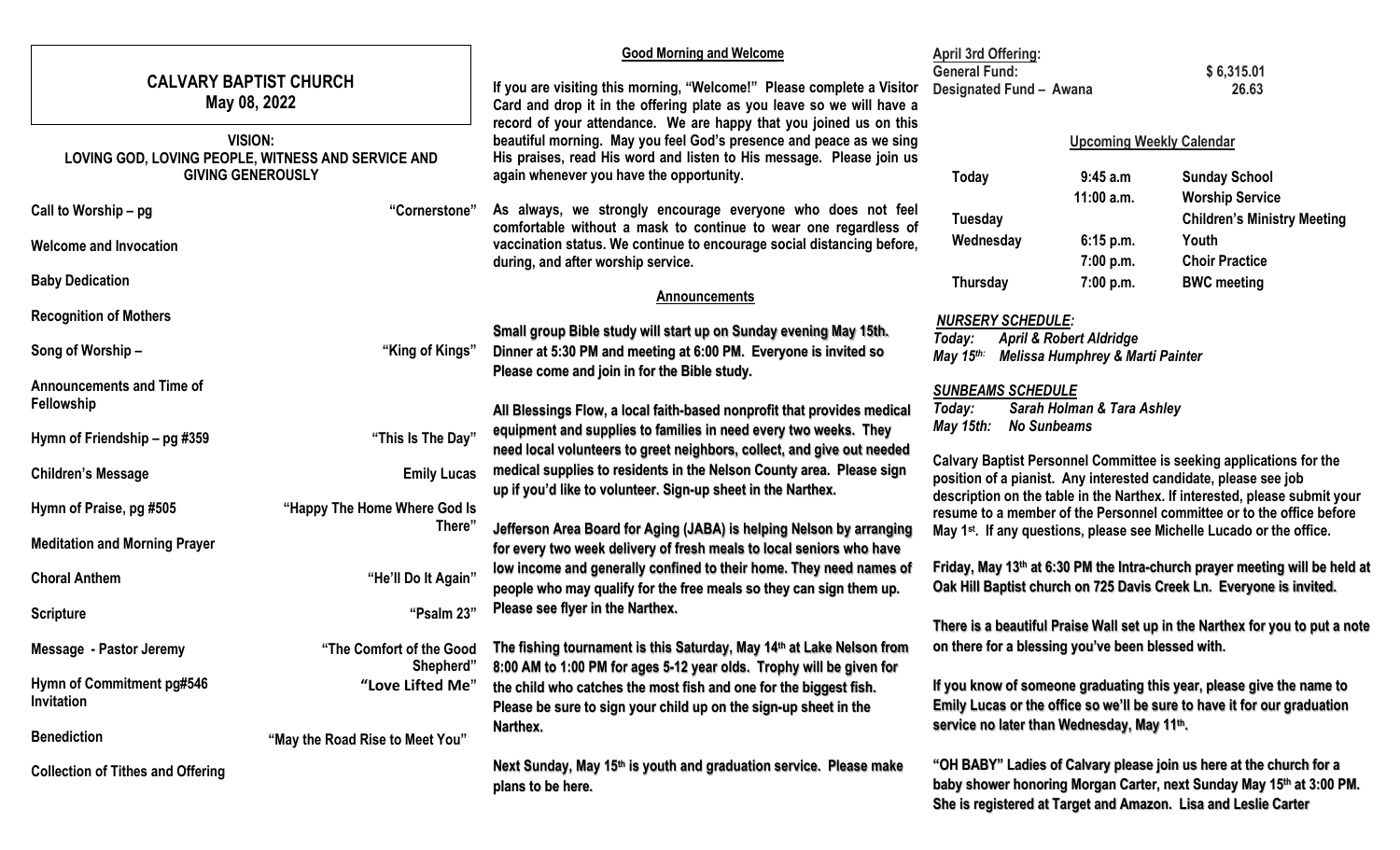|                                                                                                  |                                 | <b>Good Morning and Welcome</b>                                                                                                                                                                                                                                                                                                                                                                                                                                                                                                               | <b>April 3rd Offering:</b>                                                                                                                                                                     |              |                                                                                                                                                                                                               |
|--------------------------------------------------------------------------------------------------|---------------------------------|-----------------------------------------------------------------------------------------------------------------------------------------------------------------------------------------------------------------------------------------------------------------------------------------------------------------------------------------------------------------------------------------------------------------------------------------------------------------------------------------------------------------------------------------------|------------------------------------------------------------------------------------------------------------------------------------------------------------------------------------------------|--------------|---------------------------------------------------------------------------------------------------------------------------------------------------------------------------------------------------------------|
| <b>CALVARY BAPTIST CHURCH</b><br>May 08, 2022                                                    |                                 | If you are visiting this morning, "Welcome!" Please complete a Visitor                                                                                                                                                                                                                                                                                                                                                                                                                                                                        | <b>General Fund:</b><br>Designated Fund - Awana                                                                                                                                                |              | \$6,315.01<br>26.63                                                                                                                                                                                           |
|                                                                                                  |                                 | Card and drop it in the offering plate as you leave so we will have a<br>record of your attendance. We are happy that you joined us on this                                                                                                                                                                                                                                                                                                                                                                                                   |                                                                                                                                                                                                |              |                                                                                                                                                                                                               |
| <b>VISION:</b><br>LOVING GOD, LOVING PEOPLE, WITNESS AND SERVICE AND<br><b>GIVING GENEROUSLY</b> |                                 | beautiful morning. May you feel God's presence and peace as we sing<br>His praises, read His word and listen to His message. Please join us<br>again whenever you have the opportunity.                                                                                                                                                                                                                                                                                                                                                       | <b>Upcoming Weekly Calendar</b>                                                                                                                                                                |              |                                                                                                                                                                                                               |
|                                                                                                  |                                 |                                                                                                                                                                                                                                                                                                                                                                                                                                                                                                                                               | <b>Today</b>                                                                                                                                                                                   | 9:45 a.m     | <b>Sunday School</b>                                                                                                                                                                                          |
| Call to Worship - pg                                                                             | "Cornerstone"                   | As always, we strongly encourage everyone who does not feel                                                                                                                                                                                                                                                                                                                                                                                                                                                                                   |                                                                                                                                                                                                | $11:00$ a.m. | <b>Worship Service</b>                                                                                                                                                                                        |
|                                                                                                  |                                 | comfortable without a mask to continue to wear one regardless of                                                                                                                                                                                                                                                                                                                                                                                                                                                                              | <b>Tuesday</b><br>Wednesday                                                                                                                                                                    | 6:15 p.m.    | <b>Children's Ministry Meeting</b><br>Youth                                                                                                                                                                   |
| <b>Welcome and Invocation</b>                                                                    |                                 | vaccination status. We continue to encourage social distancing before,<br>during, and after worship service.                                                                                                                                                                                                                                                                                                                                                                                                                                  |                                                                                                                                                                                                | 7:00 p.m.    | <b>Choir Practice</b>                                                                                                                                                                                         |
| <b>Baby Dedication</b>                                                                           |                                 | <b>Announcements</b>                                                                                                                                                                                                                                                                                                                                                                                                                                                                                                                          | <b>Thursday</b>                                                                                                                                                                                | 7:00 p.m.    | <b>BWC meeting</b>                                                                                                                                                                                            |
| <b>Recognition of Mothers</b>                                                                    |                                 |                                                                                                                                                                                                                                                                                                                                                                                                                                                                                                                                               | <b>NURSERY SCHEDULE:</b>                                                                                                                                                                       |              |                                                                                                                                                                                                               |
| Song of Worship-                                                                                 | "King of Kings"                 | Small group Bible study will start up on Sunday evening May 15th.<br>Dinner at 5:30 PM and meeting at 6:00 PM. Everyone is invited so<br>Please come and join in for the Bible study.                                                                                                                                                                                                                                                                                                                                                         | <b>April &amp; Robert Aldridge</b><br>Today:<br>May $15$ <sup>th:</sup><br>Melissa Humphrey & Marti Painter                                                                                    |              |                                                                                                                                                                                                               |
| <b>Announcements and Time of</b><br><b>Fellowship</b>                                            |                                 | All Blessings Flow, a local faith-based nonprofit that provides medical                                                                                                                                                                                                                                                                                                                                                                                                                                                                       | <b>SUNBEAMS SCHEDULE</b><br>Sarah Holman & Tara Ashley<br>Today:                                                                                                                               |              |                                                                                                                                                                                                               |
| Hymn of Friendship - pg #359                                                                     | "This Is The Day"               | May 15th:<br><b>No Sunbeams</b><br>equipment and supplies to families in need every two weeks. They<br>need local volunteers to greet neighbors, collect, and give out needed<br>Calvary Baptist Personnel Committee is seeking applications for the<br>medical supplies to residents in the Nelson County area. Please sign<br>position of a pianist. Any interested candidate, please see job<br>up if you'd like to volunteer. Sign-up sheet in the Narthex.<br>description on the table in the Narthex. If interested, please submit your |                                                                                                                                                                                                |              |                                                                                                                                                                                                               |
| <b>Children's Message</b>                                                                        | <b>Emily Lucas</b>              |                                                                                                                                                                                                                                                                                                                                                                                                                                                                                                                                               |                                                                                                                                                                                                |              |                                                                                                                                                                                                               |
| Hymn of Praise, pg #505                                                                          | "Happy The Home Where God Is    |                                                                                                                                                                                                                                                                                                                                                                                                                                                                                                                                               |                                                                                                                                                                                                |              | resume to a member of the Personnel committee or to the office before                                                                                                                                         |
| <b>Meditation and Morning Prayer</b>                                                             | There"                          | Jefferson Area Board for Aging (JABA) is helping Nelson by arranging<br>May 1 <sup>st</sup> . If any questions, please see Michelle Lucado or the office.<br>for every two week delivery of fresh meals to local seniors who have                                                                                                                                                                                                                                                                                                             |                                                                                                                                                                                                |              |                                                                                                                                                                                                               |
| <b>Choral Anthem</b>                                                                             | "He'll Do It Again"             | low income and generally confined to their home. They need names of<br>people who may qualify for the free meals so they can sign them up.                                                                                                                                                                                                                                                                                                                                                                                                    | Friday, May 13th at 6:30 PM the Intra-church prayer meeting will be held at<br>Oak Hill Baptist church on 725 Davis Creek Ln. Everyone is invited.                                             |              |                                                                                                                                                                                                               |
| <b>Scripture</b>                                                                                 | "Psalm 23"                      | Please see flyer in the Narthex.                                                                                                                                                                                                                                                                                                                                                                                                                                                                                                              |                                                                                                                                                                                                |              |                                                                                                                                                                                                               |
| Message - Pastor Jeremy                                                                          | Shepherd'                       | "The Comfort of the Good The fishing tournament is this Saturday, May 14th at Lake Nelson from<br>8:00 AM to 1:00 PM for ages 5-12 year olds. Trophy will be given for                                                                                                                                                                                                                                                                                                                                                                        | There is a beautiful Praise Wall set up in the Narthex for you to put a note<br>on there for a blessing you've been blessed with.                                                              |              |                                                                                                                                                                                                               |
| Hymn of Commitment pg#546<br>Invitation                                                          | "Love Lifted Me"                | the child who catches the most fish and one for the biggest fish.                                                                                                                                                                                                                                                                                                                                                                                                                                                                             | If you know of someone graduating this year, please give the name to<br>Emily Lucas or the office so we'll be sure to have it for our graduation<br>service no later than Wednesday, May 11th. |              |                                                                                                                                                                                                               |
| <b>Benediction</b>                                                                               | "May the Road Rise to Meet You" | Please be sure to sign your child up on the sign-up sheet in the<br>Narthex.                                                                                                                                                                                                                                                                                                                                                                                                                                                                  |                                                                                                                                                                                                |              |                                                                                                                                                                                                               |
| <b>Collection of Tithes and Offering</b>                                                         |                                 | Next Sunday, May 15th is youth and graduation service. Please make<br>plans to be here.                                                                                                                                                                                                                                                                                                                                                                                                                                                       |                                                                                                                                                                                                |              | "OH BABY" Ladies of Calvary please join us here at the church for a<br>baby shower honoring Morgan Carter, next Sunday May 15th at 3:00 PM.<br>She is registered at Target and Amazon. Lisa and Leslie Carter |